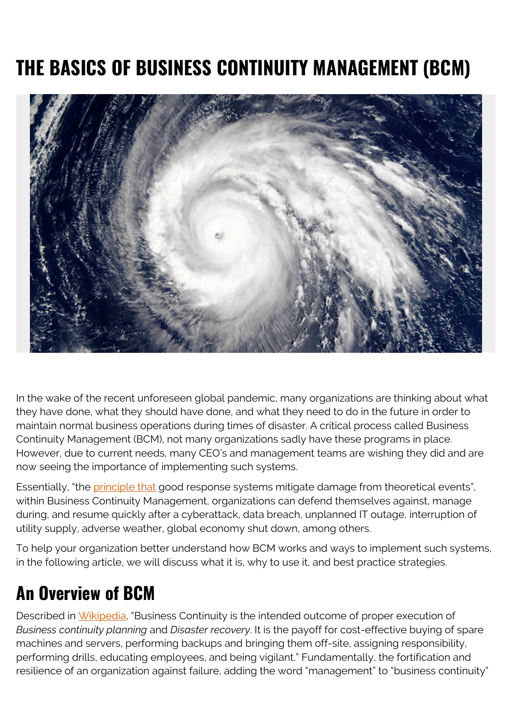# **THE BASICS OF BUSINESS CONTINUITY MANAGEMENT (BCM)**



In the wake of the recent unforeseen global pandemic, many organizations are thinking about what they have done, what they should have done, and what they need to do in the future in order to maintain normal business operations during times of disaster. A critical process called Business Continuity Management (BCM), not many organizations sadly have these programs in place. However, due to current needs, many CEO's and management teams are wishing they did and are now seeing the importance of implementing such systems.

Essentially, "the [principle that](https://phoenixnap.com/blog/what-is-business-continuity-management) good response systems mitigate damage from theoretical events", within Business Continuity Management, organizations can defend themselves against, manage during, and resume quickly after a cyberattack, data breach, unplanned IT outage, interruption of utility supply, adverse weather, global economy shut down, among others.

To help your organization better understand how BCM works and ways to implement such systems, in the following article, we will discuss what it is, why to use it, and best practice strategies.

## **An Overview of BCM**

Described in [Wikipedia](https://en.wikipedia.org/wiki/Business_continuity_planning), "Business Continuity is the intended outcome of proper execution of *Business continuity planning* and *Disaster recovery*. It is the payoff for cost-effective buying of spare machines and servers, performing backups and bringing them off-site, assigning responsibility, performing drills, educating employees, and being vigilant." Fundamentally, the fortification and resilience of an organization against failure, adding the word "management" to "business continuity"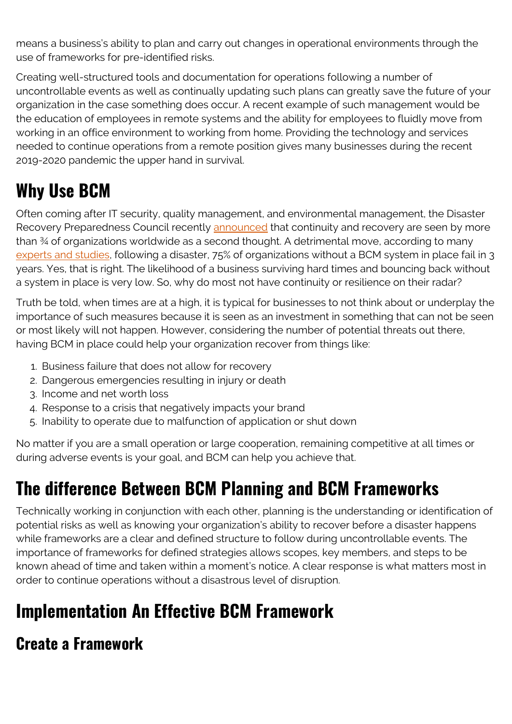means a business's ability to plan and carry out changes in operational environments through the use of frameworks for pre-identified risks.

Creating well-structured tools and documentation for operations following a number of uncontrollable events as well as continually updating such plans can greatly save the future of your organization in the case something does occur. A recent example of such management would be the education of employees in remote systems and the ability for employees to fluidly move from working in an office environment to working from home. Providing the technology and services needed to continue operations from a remote position gives many businesses during the recent 2019-2020 pandemic the upper hand in survival.

## **Why Use BCM**

Often coming after IT security, quality management, and environmental management, the Disaster Recovery Preparedness Council recently [announced](https://www.rockdovesolutions.com/blog/risk-costs-of-not-having-a-business-continuity-management-program) that continuity and recovery are seen by more than ¾ of organizations worldwide as a second thought. A detrimental move, according to many [experts and studies](https://repository.stcloudstate.edu/cgi/viewcontent.cgi?article=1068&context=msia_etds), following a disaster, 75% of organizations without a BCM system in place fail in 3 years. Yes, that is right. The likelihood of a business surviving hard times and bouncing back without a system in place is very low. So, why do most not have continuity or resilience on their radar?

Truth be told, when times are at a high, it is typical for businesses to not think about or underplay the importance of such measures because it is seen as an investment in something that can not be seen or most likely will not happen. However, considering the number of potential threats out there, having BCM in place could help your organization recover from things like:

- 1. Business failure that does not allow for recovery
- 2. Dangerous emergencies resulting in injury or death
- 3. Income and net worth loss
- 4. Response to a crisis that negatively impacts your brand
- 5. Inability to operate due to malfunction of application or shut down

No matter if you are a small operation or large cooperation, remaining competitive at all times or during adverse events is your goal, and BCM can help you achieve that.

## **The difference Between BCM Planning and BCM Frameworks**

Technically working in conjunction with each other, planning is the understanding or identification of potential risks as well as knowing your organization's ability to recover before a disaster happens while frameworks are a clear and defined structure to follow during uncontrollable events. The importance of frameworks for defined strategies allows scopes, key members, and steps to be known ahead of time and taken within a moment's notice. A clear response is what matters most in order to continue operations without a disastrous level of disruption.

## **Implementation An Effective BCM Framework**

### **Create a Framework**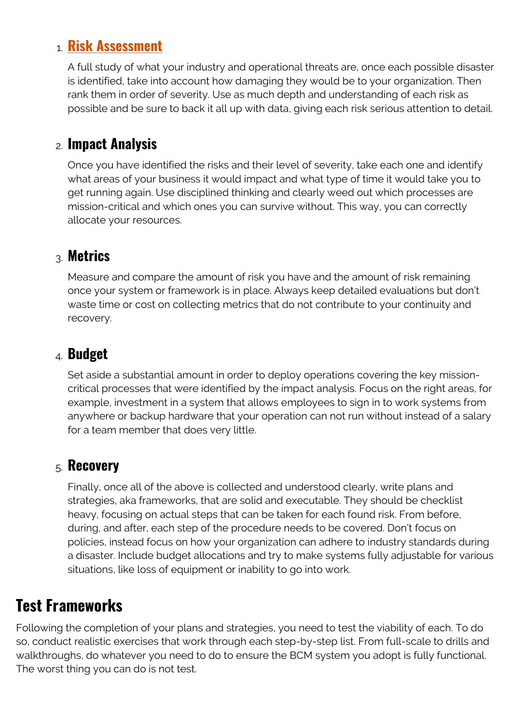#### 1. **[Risk Assessment](https://blogs.bmc.com/blogs/risk-assessment-vs-vulnerability-assessment/)**

A full study of what your industry and operational threats are, once each possible disaster is identified, take into account how damaging they would be to your organization. Then rank them in order of severity. Use as much depth and understanding of each risk as possible and be sure to back it all up with data, giving each risk serious attention to detail.

#### 2. **Impact Analysis**

Once you have identified the risks and their level of severity, take each one and identify what areas of your business it would impact and what type of time it would take you to get running again. Use disciplined thinking and clearly weed out which processes are mission-critical and which ones you can survive without. This way, you can correctly allocate your resources.

#### 3. **Metrics**

Measure and compare the amount of risk you have and the amount of risk remaining once your system or framework is in place. Always keep detailed evaluations but don't waste time or cost on collecting metrics that do not contribute to your continuity and recovery.

#### 4. **Budget**

Set aside a substantial amount in order to deploy operations covering the key missioncritical processes that were identified by the impact analysis. Focus on the right areas, for example, investment in a system that allows employees to sign in to work systems from anywhere or backup hardware that your operation can not run without instead of a salary for a team member that does very little.

#### 5. **Recovery**

Finally, once all of the above is collected and understood clearly, write plans and strategies, aka frameworks, that are solid and executable. They should be checklist heavy, focusing on actual steps that can be taken for each found risk. From before, during, and after, each step of the procedure needs to be covered. Don't focus on policies, instead focus on how your organization can adhere to industry standards during a disaster. Include budget allocations and try to make systems fully adjustable for various situations, like loss of equipment or inability to go into work.

### **Test Frameworks**

Following the completion of your plans and strategies, you need to test the viability of each. To do so, conduct realistic exercises that work through each step-by-step list. From full-scale to drills and walkthroughs, do whatever you need to do to ensure the BCM system you adopt is fully functional. The worst thing you can do is not test.